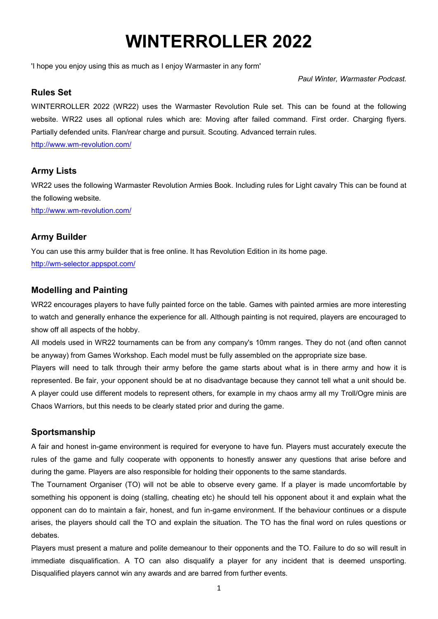# **WINTERROLLER 2022**

'I hope you enjoy using this as much as I enjoy Warmaster in any form'

*Paul Winter, Warmaster Podcast.* 

#### **Rules Set**

WINTERROLLER 2022 (WR22) uses the Warmaster Revolution Rule set. This can be found at the following website. WR22 uses all optional rules which are: Moving after failed command. First order. Charging flyers. Partially defended units. Flan/rear charge and pursuit. Scouting. Advanced terrain rules. http://www.wm-revolution.com/

#### **Army Lists**

WR22 uses the following Warmaster Revolution Armies Book. Including rules for Light cavalry This can be found at the following website.

http://www.wm-revolution.com/

#### **Army Builder**

You can use this army builder that is free online. It has Revolution Edition in its home page.

http://wm-selector.appspot.com/

#### **Modelling and Painting**

WR22 encourages players to have fully painted force on the table. Games with painted armies are more interesting to watch and generally enhance the experience for all. Although painting is not required, players are encouraged to show off all aspects of the hobby.

All models used in WR22 tournaments can be from any company's 10mm ranges. They do not (and often cannot be anyway) from Games Workshop. Each model must be fully assembled on the appropriate size base.

Players will need to talk through their army before the game starts about what is in there army and how it is represented. Be fair, your opponent should be at no disadvantage because they cannot tell what a unit should be. A player could use different models to represent others, for example in my chaos army all my Troll/Ogre minis are Chaos Warriors, but this needs to be clearly stated prior and during the game.

#### **Sportsmanship**

A fair and honest in-game environment is required for everyone to have fun. Players must accurately execute the rules of the game and fully cooperate with opponents to honestly answer any questions that arise before and during the game. Players are also responsible for holding their opponents to the same standards.

The Tournament Organiser (TO) will not be able to observe every game. If a player is made uncomfortable by something his opponent is doing (stalling, cheating etc) he should tell his opponent about it and explain what the opponent can do to maintain a fair, honest, and fun in-game environment. If the behaviour continues or a dispute arises, the players should call the TO and explain the situation. The TO has the final word on rules questions or debates.

Players must present a mature and polite demeanour to their opponents and the TO. Failure to do so will result in immediate disqualification. A TO can also disqualify a player for any incident that is deemed unsporting. Disqualified players cannot win any awards and are barred from further events.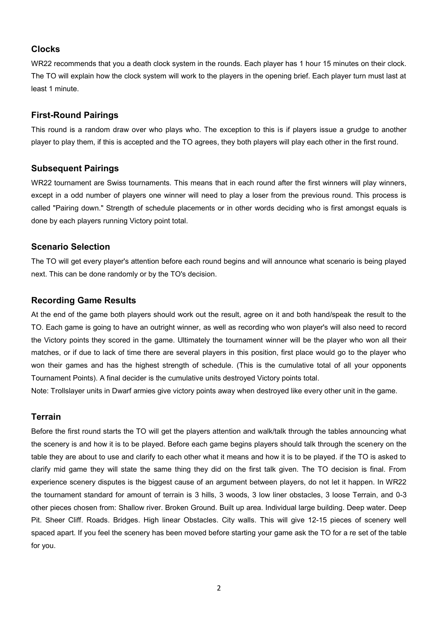#### **Clocks**

WR22 recommends that you a death clock system in the rounds. Each player has 1 hour 15 minutes on their clock. The TO will explain how the clock system will work to the players in the opening brief. Each player turn must last at least 1 minute.

#### **First-Round Pairings**

This round is a random draw over who plays who. The exception to this is if players issue a grudge to another player to play them, if this is accepted and the TO agrees, they both players will play each other in the first round.

#### **Subsequent Pairings**

WR22 tournament are Swiss tournaments. This means that in each round after the first winners will play winners, except in a odd number of players one winner will need to play a loser from the previous round. This process is called "Pairing down." Strength of schedule placements or in other words deciding who is first amongst equals is done by each players running Victory point total.

#### **Scenario Selection**

The TO will get every player's attention before each round begins and will announce what scenario is being played next. This can be done randomly or by the TO's decision.

#### **Recording Game Results**

At the end of the game both players should work out the result, agree on it and both hand/speak the result to the TO. Each game is going to have an outright winner, as well as recording who won player's will also need to record the Victory points they scored in the game. Ultimately the tournament winner will be the player who won all their matches, or if due to lack of time there are several players in this position, first place would go to the player who won their games and has the highest strength of schedule. (This is the cumulative total of all your opponents Tournament Points). A final decider is the cumulative units destroyed Victory points total.

Note: Trollslayer units in Dwarf armies give victory points away when destroyed like every other unit in the game.

#### **Terrain**

Before the first round starts the TO will get the players attention and walk/talk through the tables announcing what the scenery is and how it is to be played. Before each game begins players should talk through the scenery on the table they are about to use and clarify to each other what it means and how it is to be played. if the TO is asked to clarify mid game they will state the same thing they did on the first talk given. The TO decision is final. From experience scenery disputes is the biggest cause of an argument between players, do not let it happen. In WR22 the tournament standard for amount of terrain is 3 hills, 3 woods, 3 low liner obstacles, 3 loose Terrain, and 0-3 other pieces chosen from: Shallow river. Broken Ground. Built up area. Individual large building. Deep water. Deep Pit. Sheer Cliff. Roads. Bridges. High linear Obstacles. City walls. This will give 12-15 pieces of scenery well spaced apart. If you feel the scenery has been moved before starting your game ask the TO for a re set of the table for you.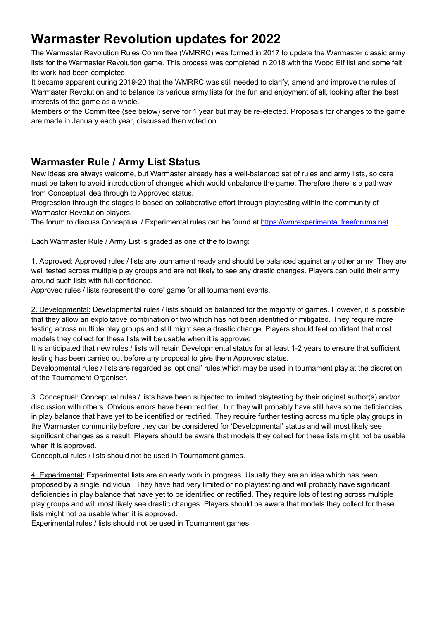# **Warmaster Revolution updates for 2022**

The Warmaster Revolution Rules Committee (WMRRC) was formed in 2017 to update the Warmaster classic army lists for the Warmaster Revolution game. This process was completed in 2018 with the Wood Elf list and some felt its work had been completed.

It became apparent during 2019-20 that the WMRRC was still needed to clarify, amend and improve the rules of Warmaster Revolution and to balance its various army lists for the fun and enjoyment of all, looking after the best interests of the game as a whole.

Members of the Committee (see below) serve for 1 year but may be re-elected. Proposals for changes to the game are made in January each year, discussed then voted on.

### **Warmaster Rule / Army List Status**

New ideas are always welcome, but Warmaster already has a well-balanced set of rules and army lists, so care must be taken to avoid introduction of changes which would unbalance the game. Therefore there is a pathway from Conceptual idea through to Approved status.

Progression through the stages is based on collaborative effort through playtesting within the community of Warmaster Revolution players.

The forum to discuss Conceptual / Experimental rules can be found at https://wmrexperimental.freeforums.net

Each Warmaster Rule / Army List is graded as one of the following:

1. Approved: Approved rules / lists are tournament ready and should be balanced against any other army. They are well tested across multiple play groups and are not likely to see any drastic changes. Players can build their army around such lists with full confidence.

Approved rules / lists represent the 'core' game for all tournament events.

2. Developmental: Developmental rules / lists should be balanced for the majority of games. However, it is possible that they allow an exploitative combination or two which has not been identified or mitigated. They require more testing across multiple play groups and still might see a drastic change. Players should feel confident that most models they collect for these lists will be usable when it is approved.

It is anticipated that new rules / lists will retain Developmental status for at least 1-2 years to ensure that sufficient testing has been carried out before any proposal to give them Approved status.

Developmental rules / lists are regarded as 'optional' rules which may be used in tournament play at the discretion of the Tournament Organiser.

3. Conceptual: Conceptual rules / lists have been subjected to limited playtesting by their original author(s) and/or discussion with others. Obvious errors have been rectified, but they will probably have still have some deficiencies in play balance that have yet to be identified or rectified. They require further testing across multiple play groups in the Warmaster community before they can be considered for 'Developmental' status and will most likely see significant changes as a result. Players should be aware that models they collect for these lists might not be usable when it is approved.

Conceptual rules / lists should not be used in Tournament games.

4. Experimental: Experimental lists are an early work in progress. Usually they are an idea which has been proposed by a single individual. They have had very limited or no playtesting and will probably have significant deficiencies in play balance that have yet to be identified or rectified. They require lots of testing across multiple play groups and will most likely see drastic changes. Players should be aware that models they collect for these lists might not be usable when it is approved.

Experimental rules / lists should not be used in Tournament games.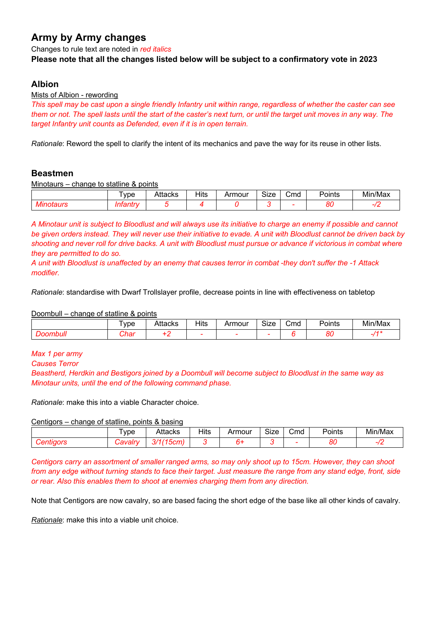## **Army by Army changes**

Changes to rule text are noted in *red italics*

#### **Please note that all the changes listed below will be subject to a confirmatory vote in 2023**

#### **Albion**

#### Mists of Albion - rewording

*This spell may be cast upon a single friendly Infantry unit within range, regardless of whether the caster can see them or not. The spell lasts until the start of the caster's next turn, or until the target unit moves in any way. The target Infantry unit counts as Defended, even if it is in open terrain.*

*Rationale*: Reword the spell to clarify the intent of its mechanics and pave the way for its reuse in other lists.

#### **Beastmen**

Minotaurs – change to statline & points

| ype | Attacks | $\overline{\mathsf{H}}$ its<br>___ | \rmour | <b></b><br>- 70<br>ס∠וכ | -<br>Cmd | oints'<br>---- | Min/Ma. |
|-----|---------|------------------------------------|--------|-------------------------|----------|----------------|---------|
|     |         |                                    |        |                         |          | o,<br>οι       |         |

*A Minotaur unit is subject to Bloodlust and will always use its initiative to charge an enemy if possible and cannot be given orders instead. They will never use their initiative to evade. A unit with Bloodlust cannot be driven back by shooting and never roll for drive backs. A unit with Bloodlust must pursue or advance if victorious in combat where they are permitted to do so.*

*A unit with Bloodlust is unaffected by an enemy that causes terror in combat -they don't suffer the -1 Attack modifier.*

*Rationale*: standardise with Dwarf Trollslayer profile, decrease points in line with effectiveness on tabletop

Doombull – change of statline & points

|               | ype            | Attacks | Hits | Armour                   | Size | Cmd | Points   | Min/Max        |
|---------------|----------------|---------|------|--------------------------|------|-----|----------|----------------|
| . .<br>וווססע | nhor<br>וסו וי |         |      | $\overline{\phantom{a}}$ | -    |     | o,<br>οι | $\overline{A}$ |

*Max 1 per army Causes Terror*

*Beastherd, Herdkin and Bestigors joined by a Doombull will become subject to Bloodlust in the same way as Minotaur units, until the end of the following command phase.*

*Rationale*: make this into a viable Character choice.

Centigors – change of statline, points & basing

| <b>vpe</b> | <b>Attacks</b>                          | Hits | Armour | r.<br>SIZE | $\overline{\phantom{a}}$<br>Cmd | –<br>Points | $\mathbf{r}$<br>$\cdots$<br>Min/Max |
|------------|-----------------------------------------|------|--------|------------|---------------------------------|-------------|-------------------------------------|
|            | $\sqrt{1-\frac{1}{2}}$<br>7/4<br>המטט י |      |        |            | -                               | n,<br>u     |                                     |

*Centigors carry an assortment of smaller ranged arms, so may only shoot up to 15cm. However, they can shoot from any edge without turning stands to face their target. Just measure the range from any stand edge, front, side or rear. Also this enables them to shoot at enemies charging them from any direction.*

Note that Centigors are now cavalry, so are based facing the short edge of the base like all other kinds of cavalry.

*Rationale*: make this into a viable unit choice.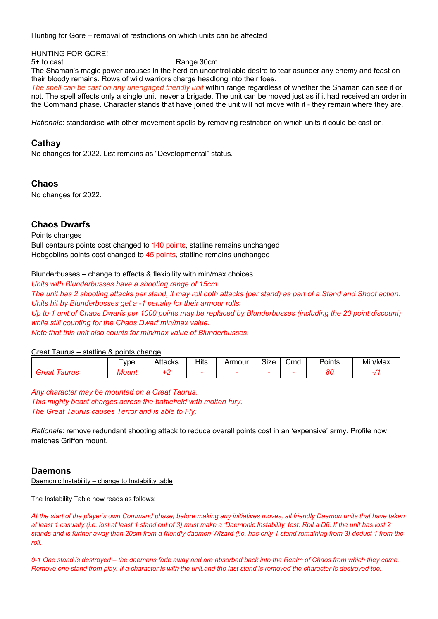#### Hunting for Gore – removal of restrictions on which units can be affected

#### HUNTING FOR GORE!

5+ to cast ..................................................... Range 30cm

The Shaman's magic power arouses in the herd an uncontrollable desire to tear asunder any enemy and feast on their bloody remains. Rows of wild warriors charge headlong into their foes.

*The spell can be cast on any unengaged friendly unit* within range regardless of whether the Shaman can see it or not. The spell affects only a single unit, never a brigade. The unit can be moved just as if it had received an order in the Command phase. Character stands that have joined the unit will not move with it - they remain where they are.

*Rationale*: standardise with other movement spells by removing restriction on which units it could be cast on.

#### **Cathay**

No changes for 2022. List remains as "Developmental" status.

#### **Chaos**

No changes for 2022.

#### **Chaos Dwarfs**

#### Points changes

Bull centaurs points cost changed to 140 points, statline remains unchanged Hobgoblins points cost changed to 45 points, statline remains unchanged

Blunderbusses – change to effects & flexibility with min/max choices

*Units with Blunderbusses have a shooting range of 15cm. The unit has 2 shooting attacks per stand, it may roll both attacks (per stand) as part of a Stand and Shoot action. Units hit by Blunderbusses get a -1 penalty for their armour rolls. Up to 1 unit of Chaos Dwarfs per 1000 points may be replaced by Blunderbusses (including the 20 point discount) while still counting for the Chaos Dwarf min/max value. Note that this unit also counts for min/max value of Blunderbusses.*

#### Great Taurus – statline & points change

|                   | <b>vpe</b> | Attacks | Hits<br>$-$ | Armour | $\sim$<br>SIZE | ∽<br>Cmd | -<br>Points    | Min/Max |
|-------------------|------------|---------|-------------|--------|----------------|----------|----------------|---------|
| $\alpha$<br>aurus | ouni<br>w  |         | -           |        |                |          | $\alpha$<br>oι |         |

*Any character may be mounted on a Great Taurus. This mighty beast charges across the battlefield with molten fury. The Great Taurus causes Terror and is able to Fly.*

*Rationale*: remove redundant shooting attack to reduce overall points cost in an 'expensive' army. Profile now matches Griffon mount.

#### **Daemons**

Daemonic Instability – change to Instability table

The Instability Table now reads as follows:

*At the start of the player's own Command phase, before making any initiatives moves, all friendly Daemon units that have taken at least 1 casualty (i.e. lost at least 1 stand out of 3) must make a 'Daemonic Instability' test. Roll a D6. If the unit has lost 2 stands and is further away than 20cm from a friendly daemon Wizard (i.e. has only 1 stand remaining from 3) deduct 1 from the roll.*

*0-1 One stand is destroyed – the daemons fade away and are absorbed back into the Realm of Chaos from which they came. Remove one stand from play. If a character is with the unit.and the last stand is removed the character is destroyed too.*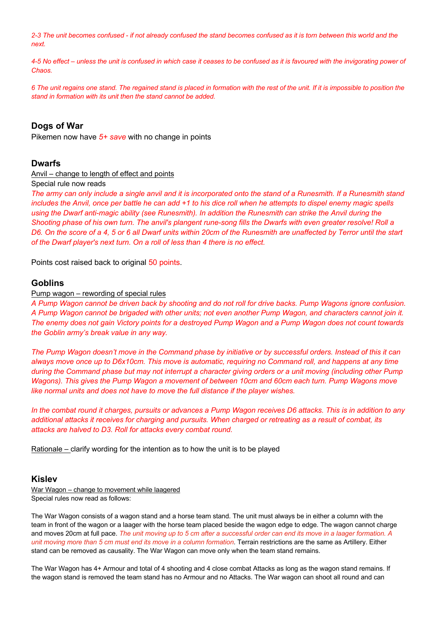*2-3 The unit becomes confused - if not already confused the stand becomes confused as it is torn between this world and the next.* 

*4-5 No effect – unless the unit is confused in which case it ceases to be confused as it is favoured with the invigorating power of Chaos.*

*6 The unit regains one stand. The regained stand is placed in formation with the rest of the unit. If it is impossible to position the stand in formation with its unit then the stand cannot be added.*

#### **Dogs of War**

Pikemen now have *5+ save* with no change in points

#### **Dwarfs**

#### Anvil – change to length of effect and points

Special rule now reads

*The army can only include a single anvil and it is incorporated onto the stand of a Runesmith. If a Runesmith stand includes the Anvil, once per battle he can add +1 to his dice roll when he attempts to dispel enemy magic spells using the Dwarf anti-magic ability (see Runesmith). In addition the Runesmith can strike the Anvil during the Shooting phase of his own turn. The anvil's plangent rune-song fills the Dwarfs with even greater resolve! Roll a D6. On the score of a 4, 5 or 6 all Dwarf units within 20cm of the Runesmith are unaffected by Terror until the start of the Dwarf player's next turn. On a roll of less than 4 there is no effect.*

Points cost raised back to original 50 points.

#### **Goblins**

#### Pump wagon – rewording of special rules

*A Pump Wagon cannot be driven back by shooting and do not roll for drive backs. Pump Wagons ignore confusion. A Pump Wagon cannot be brigaded with other units; not even another Pump Wagon, and characters cannot join it. The enemy does not gain Victory points for a destroyed Pump Wagon and a Pump Wagon does not count towards the Goblin army's break value in any way.*

*The Pump Wagon doesn't move in the Command phase by initiative or by successful orders. Instead of this it can always move once up to D6x10cm. This move is automatic, requiring no Command roll, and happens at any time during the Command phase but may not interrupt a character giving orders or a unit moving (including other Pump Wagons). This gives the Pump Wagon a movement of between 10cm and 60cm each turn. Pump Wagons move like normal units and does not have to move the full distance if the player wishes.*

*In the combat round it charges, pursuits or advances a Pump Wagon receives D6 attacks. This is in addition to any additional attacks it receives for charging and pursuits. When charged or retreating as a result of combat, its attacks are halved to D3. Roll for attacks every combat round.*

Rationale – clarify wording for the intention as to how the unit is to be played

#### **Kislev**

War Wagon – change to movement while laagered Special rules now read as follows:

The War Wagon consists of a wagon stand and a horse team stand. The unit must always be in either a column with the team in front of the wagon or a laager with the horse team placed beside the wagon edge to edge. The wagon cannot charge and moves 20cm at full pace. *The unit moving up to 5 cm after a successful order can end its move in a laager formation. A unit moving more than 5 cm must end its move in a column formation.* Terrain restrictions are the same as Artillery. Either stand can be removed as causality. The War Wagon can move only when the team stand remains.

The War Wagon has 4+ Armour and total of 4 shooting and 4 close combat Attacks as long as the wagon stand remains. If the wagon stand is removed the team stand has no Armour and no Attacks. The War wagon can shoot all round and can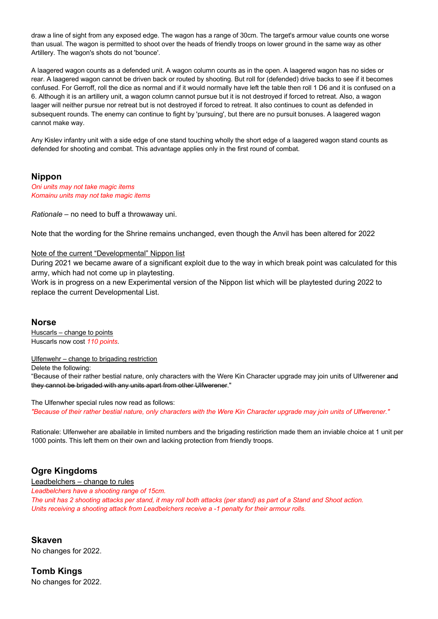draw a line of sight from any exposed edge. The wagon has a range of 30cm. The target's armour value counts one worse than usual. The wagon is permitted to shoot over the heads of friendly troops on lower ground in the same way as other Artillery. The wagon's shots do not 'bounce'.

A laagered wagon counts as a defended unit. A wagon column counts as in the open. A laagered wagon has no sides or rear. A laagered wagon cannot be driven back or routed by shooting. But roll for (defended) drive backs to see if it becomes confused. For Gerroff, roll the dice as normal and if it would normally have left the table then roll 1 D6 and it is confused on a 6. Although it is an artillery unit, a wagon column cannot pursue but it is not destroyed if forced to retreat. Also, a wagon laager will neither pursue nor retreat but is not destroyed if forced to retreat. It also continues to count as defended in subsequent rounds. The enemy can continue to fight by 'pursuing', but there are no pursuit bonuses. A laagered wagon cannot make way.

Any Kislev infantry unit with a side edge of one stand touching wholly the short edge of a laagered wagon stand counts as defended for shooting and combat. This advantage applies only in the first round of combat.

#### **Nippon**

*Oni units may not take magic items Komainu units may not take magic items*

*Rationale* – no need to buff a throwaway uni.

Note that the wording for the Shrine remains unchanged, even though the Anvil has been altered for 2022

#### Note of the current "Developmental" Nippon list

During 2021 we became aware of a significant exploit due to the way in which break point was calculated for this army, which had not come up in playtesting.

Work is in progress on a new Experimental version of the Nippon list which will be playtested during 2022 to replace the current Developmental List.

#### **Norse**

Huscarls – change to points Huscarls now cost *110 points*.

Ulfenwehr – change to brigading restriction

Delete the following:

"Because of their rather bestial nature, only characters with the Were Kin Character upgrade may join units of Ulfwerener and they cannot be brigaded with any units apart from other Ulfwerener."

The Ulfenwher special rules now read as follows: *"Because of their rather bestial nature, only characters with the Were Kin Character upgrade may join units of Ulfwerener."*

Rationale: Ulfenweher are abailable in limited numbers and the brigading restiriction made them an inviable choice at 1 unit per 1000 points. This left them on their own and lacking protection from friendly troops.

#### **Ogre Kingdoms**

Leadbelchers – change to rules

*Leadbelchers have a shooting range of 15cm.*

*The unit has 2 shooting attacks per stand, it may roll both attacks (per stand) as part of a Stand and Shoot action. Units receiving a shooting attack from Leadbelchers receive a -1 penalty for their armour rolls.*

#### **Skaven**

No changes for 2022.

**Tomb Kings** No changes for 2022.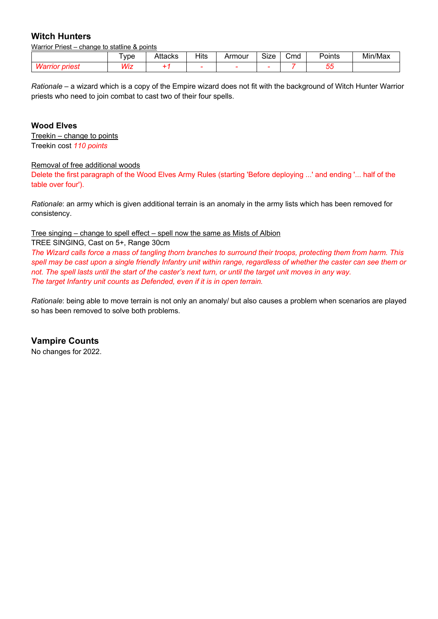#### **Witch Hunters**

Warrior Priest – change to statline & points

|                     | vpe                  | 400ko<br>∸aCK… | <b>Hits</b> | rmour. | $\sim$ $\sim$<br>SIZE<br>__ | Cmd<br>_______ | –<br>Points | Min/M <sub>e</sub> |
|---------------------|----------------------|----------------|-------------|--------|-----------------------------|----------------|-------------|--------------------|
| I IUI<br>ונשוו<br>a | $\overline{AB}$<br>. |                |             |        |                             |                | --<br>u     |                    |

*Rationale* – a wizard which is a copy of the Empire wizard does not fit with the background of Witch Hunter Warrior priests who need to join combat to cast two of their four spells.

#### **Wood Elves**

Treekin – change to points Treekin cost *110 points*

#### Removal of free additional woods

Delete the first paragraph of the Wood Elves Army Rules (starting 'Before deploying ...' and ending '... half of the table over four').

*Rationale*: an army which is given additional terrain is an anomaly in the army lists which has been removed for consistency.

#### Tree singing – change to spell effect – spell now the same as Mists of Albion

TREE SINGING, Cast on 5+, Range 30cm

*The Wizard calls force a mass of tangling thorn branches to surround their troops, protecting them from harm. This spell may be cast upon a single friendly Infantry unit within range, regardless of whether the caster can see them or not. The spell lasts until the start of the caster's next turn, or until the target unit moves in any way. The target Infantry unit counts as Defended, even if it is in open terrain.*

*Rationale*: being able to move terrain is not only an anomaly/ but also causes a problem when scenarios are played so has been removed to solve both problems.

#### **Vampire Counts**

No changes for 2022.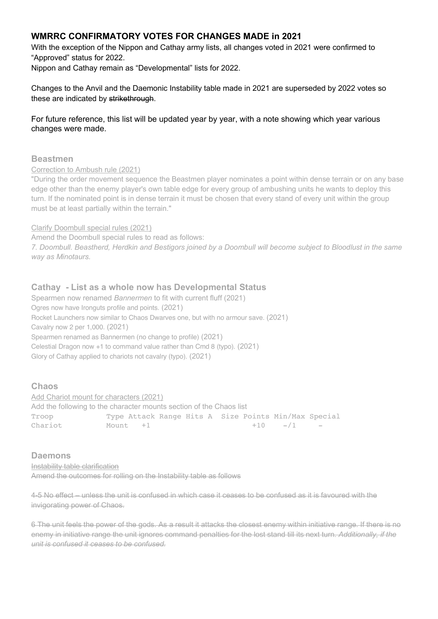#### **WMRRC CONFIRMATORY VOTES FOR CHANGES MADE in 2021**

With the exception of the Nippon and Cathay army lists, all changes voted in 2021 were confirmed to "Approved" status for 2022.

Nippon and Cathay remain as "Developmental" lists for 2022.

Changes to the Anvil and the Daemonic Instability table made in 2021 are superseded by 2022 votes so these are indicated by strikethrough.

For future reference, this list will be updated year by year, with a note showing which year various changes were made.

#### **Beastmen**

#### Correction to Ambush rule (2021)

"During the order movement sequence the Beastmen player nominates a point within dense terrain or on any base edge other than the enemy player's own table edge for every group of ambushing units he wants to deploy this turn. If the nominated point is in dense terrain it must be chosen that every stand of every unit within the group must be at least partially within the terrain."

#### Clarify Doombull special rules (2021)

Amend the Doombull special rules to read as follows:

*7. Doombull. Beastherd, Herdkin and Bestigors joined by a Doombull will become subject to Bloodlust in the same way as Minotaurs.* 

#### **Cathay - List as a whole now has Developmental Status**

Spearmen now renamed *Bannermen* to fit with current fluff (2021) Ogres now have Ironguts profile and points. (2021) Rocket Launchers now similar to Chaos Dwarves one, but with no armour save. (2021) Cavalry now 2 per 1,000. (2021) Spearmen renamed as Bannermen (no change to profile) (2021) Celestial Dragon now +1 to command value rather than Cmd 8 (typo). (2021) Glory of Cathay applied to chariots not cavalry (typo). (2021)

#### **Chaos**

Add Chariot mount for characters (2021) Add the following to the character mounts section of the Chaos list Troop Type Attack Range Hits A Size Points Min/Max Special  $\begin{array}{cccc}\n\text{matrix} & +1 & +1 & +10 & -/1 \\
\end{array}$ 

#### **Daemons**

Instability table clarification

Amend the outcomes for rolling on the Instability table as follows

4-5 No effect – unless the unit is confused in which case it ceases to be confused as it is favoured with the invigorating power of Chaos.

6 The unit feels the power of the gods. As a result it attacks the closest enemy within initiative range. If there is no enemy in initiative range the unit ignores command penalties for the lost stand till its next turn. *Additionally, if the unit is confused it ceases to be confused.*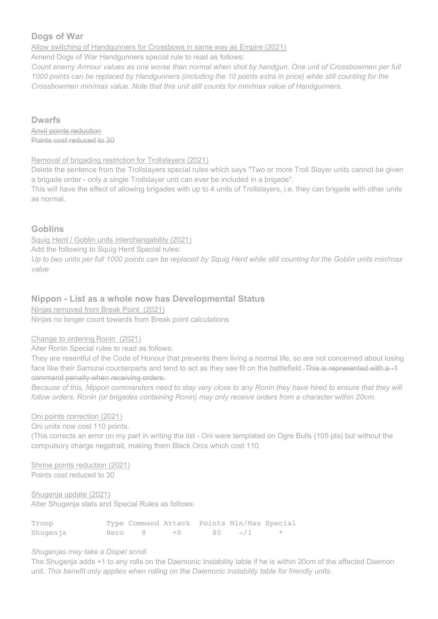#### **Dogs of War**

Allow switching of Handgunners for Crossbows in same way as Empire (2021)

Amend Dogs of War Handgunners special rule to read as follows:

*Count enemy Armour values as one worse than normal when shot by handgun. One unit of Crossbowmen per full 1000 points can be replaced by Handgunners (including the 10 points extra in price) while still counting for the Crossbowmen min/max value. Note that this unit still counts for min/max value of Handgunners.* 

#### **Dwarfs**

Anvil points reduction Points cost reduced to 30

#### Removal of brigading restriction for Trollslayers (2021)

Delete the sentence from the Trollslayers special rules which says "Two or more Troll Slayer units cannot be given a brigade order - only a single Trollslayer unit can ever be included in a brigade".

This will have the effect of allowing brigades with up to 4 units of Trollslayers, i.e. they can brigade with other units as normal.

#### **Goblins**

Squig Herd / Goblin units interchangability (2021)

Add the following to Squig Herd Special rules:

*Up to two units per full 1000 points can be replaced by Squig Herd while still counting for the Goblin units min/max value* 

#### **Nippon - List as a whole now has Developmental Status**

Ninjas removed from Break Point (2021) Ninjas no longer count towards from Break point calculations

#### Change to ordering Ronin (2021)

Alter Ronin Special rules to read as follows:

They are resentful of the Code of Honour that prevents them living a normal life, so are not concerned about losing face like their Samurai counterparts and tend to act as they see fit on the battlefield. This is represented with a -1 command penalty when receiving orders.

*Because of this, Nippon commanders need to stay very close to any Ronin they have hired to ensure that they will follow orders. Ronin (or brigades containing Ronin) may only receive orders from a character within 20cm.*

#### Oni points correction (2021)

Oni units now cost 110 points.

(This corrects an error on my part in writing the list - Oni were templated on Ogre Bulls (105 pts) but without the compulsory charge negatrait, making them Black Orcs which cost 110.

Shrine points reduction (2021) Points cost reduced to 30

Shugenja update (2021) Alter Shugenja stats and Special Rules as follows:

| Troop    |        |       | Type Command Attack Points Min/Max Special |         |
|----------|--------|-------|--------------------------------------------|---------|
| Shugenja | Hero 8 | $+()$ | $80 - 11$                                  | $\star$ |

#### *Shugenjas may take a Dispel scroll.*

The Shugenja adds +1 to any rolls on the Daemonic Instability table if he is within 20cm of the affected Daemon unit. *This benefit only applies when rolling on the Daemonic Instability table for friendly units.*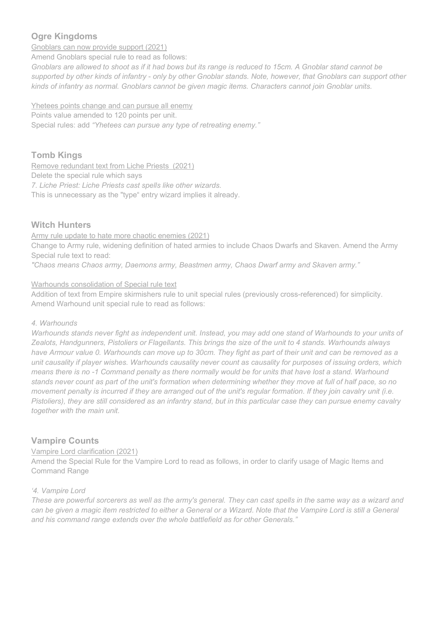#### **Ogre Kingdoms**

Gnoblars can now provide support (2021)

Amend Gnoblars special rule to read as follows:

*Gnoblars are allowed to shoot as if it had bows but its range is reduced to 15cm. A Gnoblar stand cannot be supported by other kinds of infantry - only by other Gnoblar stands. Note, however, that Gnoblars can support other kinds of infantry as normal. Gnoblars cannot be given magic items. Characters cannot join Gnoblar units.* 

Yhetees points change and can pursue all enemy Points value amended to 120 points per unit. Special rules: add *"Yhetees can pursue any type of retreating enemy."*

#### **Tomb Kings**

Remove redundant text from Liche Priests (2021) Delete the special rule which says *7. Liche Priest: Liche Priests cast spells like other wizards.* This is unnecessary as the "type" entry wizard implies it already.

#### **Witch Hunters**

Army rule update to hate more chaotic enemies (2021) Change to Army rule, widening definition of hated armies to include Chaos Dwarfs and Skaven. Amend the Army Special rule text to read:

*"Chaos means Chaos army, Daemons army, Beastmen army, Chaos Dwarf army and Skaven army."* 

#### Warhounds consolidation of Special rule text

Addition of text from Empire skirmishers rule to unit special rules (previously cross-referenced) for simplicity. Amend Warhound unit special rule to read as follows:

#### *4. Warhounds*

*Warhounds stands never fight as independent unit. Instead, you may add one stand of Warhounds to your units of Zealots, Handgunners, Pistoliers or Flagellants. This brings the size of the unit to 4 stands. Warhounds always have Armour value 0. Warhounds can move up to 30cm. They fight as part of their unit and can be removed as a unit causality if player wishes. Warhounds causality never count as causality for purposes of issuing orders, which means there is no -1 Command penalty as there normally would be for units that have lost a stand. Warhound stands never count as part of the unit's formation when determining whether they move at full of half pace, so no movement penalty is incurred if they are arranged out of the unit's regular formation. If they join cavalry unit (i.e. Pistoliers), they are still considered as an infantry stand, but in this particular case they can pursue enemy cavalry together with the main unit.*

#### **Vampire Counts**

#### Vampire Lord clarification (2021)

Amend the Special Rule for the Vampire Lord to read as follows, in order to clarify usage of Magic Items and Command Range

#### *'4. Vampire Lord*

*These are powerful sorcerers as well as the army's general. They can cast spells in the same way as a wizard and can be given a magic item restricted to either a General or a Wizard. Note that the Vampire Lord is still a General and his command range extends over the whole battlefield as for other Generals."*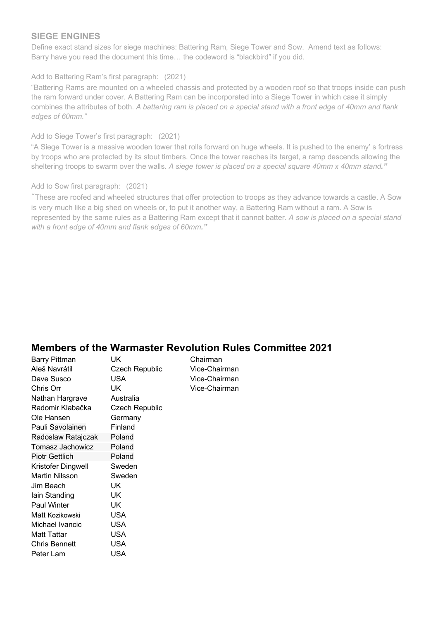#### **SIEGE ENGINES**

Define exact stand sizes for siege machines: Battering Ram, Siege Tower and Sow. Amend text as follows: Barry have you read the document this time… the codeword is "blackbird" if you did.

#### Add to Battering Ram's first paragraph: (2021)

"Battering Rams are mounted on a wheeled chassis and protected by a wooden roof so that troops inside can push the ram forward under cover. A Battering Ram can be incorporated into a Siege Tower in which case it simply combines the attributes of both. *A battering ram is placed on a special stand with a front edge of 40mm and flank edges of 60mm."*

#### Add to Siege Tower's first paragraph: (2021)

"A Siege Tower is a massive wooden tower that rolls forward on huge wheels. It is pushed to the enemу' s fortress by troops who are protected by its stout timbers. Once the tower reaches its target, a ramp descends allowing the sheltering troops to swarm over the walls. *A siege tower is placed on a special square 40mm x 40mm stand."*

#### Add to Sow first paragraph: (2021)

"These are roofed and wheeled structures that offer protection to troops as they advance towards a castle. A Sow is very much like a big shed on wheels or, to put it another way, a Battering Ram without a ram. A Sow is represented by the same rules as a Battering Ram except that it cannot batter. *A sow is placed on a special stand with a front edge of 40mm and flank edges of 60mm."*

### **Members of the Warmaster Revolution Rules Committee 2021**

| Barry Pittman           | UK.                   | Chairman      |
|-------------------------|-----------------------|---------------|
| Aleš Navrátil           | Czech Republic        | Vice-Chairman |
| Dave Susco              | USA                   | Vice-Chairman |
| Chris Orr               | <b>UK</b>             | Vice-Chairman |
| Nathan Hargrave         | Australia             |               |
| Radomir Klabačka        | <b>Czech Republic</b> |               |
| Ole Hansen              | Germany               |               |
| Pauli Savolainen        | Finland               |               |
| Radoslaw Ratajczak      | Poland                |               |
| <b>Tomasz Jachowicz</b> | Poland                |               |
| <b>Piotr Gettlich</b>   | Poland                |               |
| Kristofer Dingwell      | Sweden                |               |
| <b>Martin Nilsson</b>   | Sweden                |               |
| Jim Beach               | UK                    |               |
| lain Standing           | UK                    |               |
| <b>Paul Winter</b>      | UK                    |               |
| Matt Kozikowski         | USA                   |               |
| Michael Ivancic         | USA                   |               |
| <b>Matt Tattar</b>      | <b>USA</b>            |               |
| Chris Bennett           | USA                   |               |
| Peter Lam               | USA                   |               |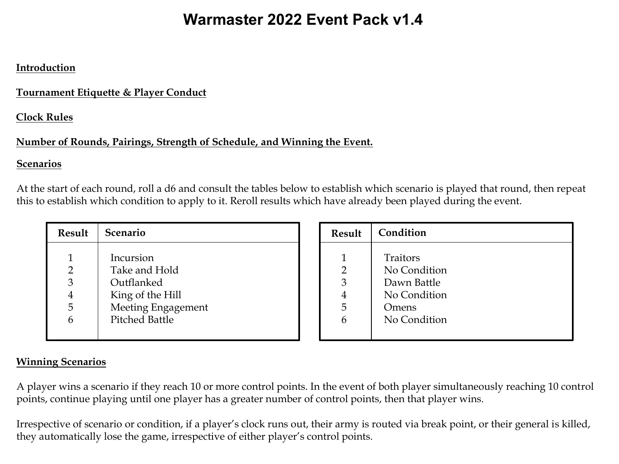# **Warmaster 2022 Event Pack v1.3 Warmaster 2022 Event Pack v1.4**

#### **Introduction**

#### **Tournament Etiquette & Player Conduct**

#### **Clock Rules**

#### **Number of Rounds, Pairings, Strength of Schedule, and Winning the Event.**

#### **Scenarios**

At the start of each round, roll a d6 and consult the tables below to establish which scenario is played that round, then repeat this to establish which condition to apply to it. Reroll results which have already been played during the event.

| <b>Result</b> | Scenario              |
|---------------|-----------------------|
|               | Incursion             |
| 2             | Take and Hold         |
| 3             | Outflanked            |
|               | King of the Hill      |
| 5             | Meeting Engagement    |
|               | <b>Pitched Battle</b> |
|               |                       |

| <b>Result</b> | Condition    |
|---------------|--------------|
|               |              |
| 1             | Traitors     |
| 2             | No Condition |
| 3             | Dawn Battle  |
| 4             | No Condition |
| 5             | Omens        |
| 6             | No Condition |
|               |              |

#### **Winning Scenarios**

A player wins a scenario if they reach 10 or more control points. In the event of both player simultaneously reaching 10 control points, continue playing until one player has a greater number of control points, then that player wins.

Irrespective of scenario or condition, if a player's clock runs out, their army is routed via break point, or their general is killed, they automatically lose the game, irrespective of either player's control points.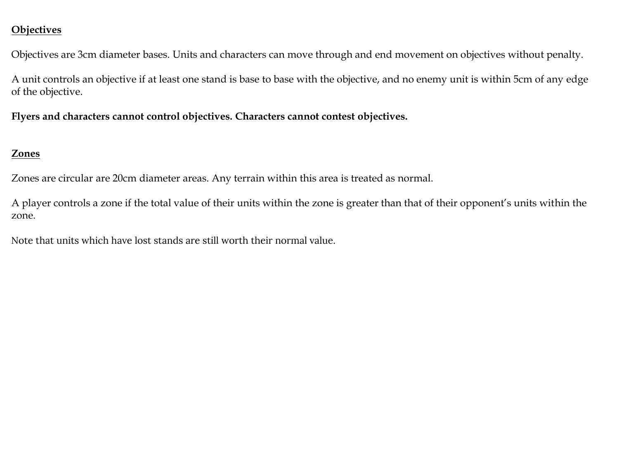#### **Objectives**

Objectives are 3cm diameter bases. Units and characters can move through and end movement on objectives without penalty.

A unit controls an objective if at least one stand is base to base with the objective, and no enemy unit is within 5cm of any edge of the objective.

**Flyers and characters cannot control objectives. Characters cannot contest objectives.**

#### **Zones**

Zones are circular are 20cm diameter areas. Any terrain within this area is treated as normal.

A player controls a zone if the total value of their units within the zone is greater than that of their opponent's units within the zone.

Note that units which have lost stands are still worth their normal value.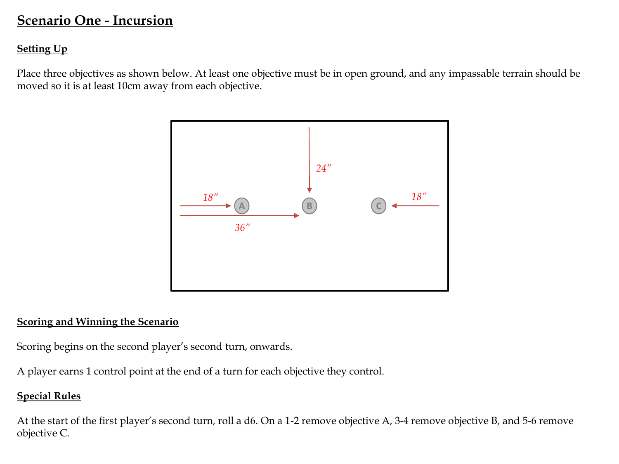## **Scenario One - Incursion**

#### **Setting Up**

Place three objectives as shown below. At least one objective must be in open ground, and any impassable terrain should be moved so it is at least 10cm away from each objective.



#### **Scoring and Winning the Scenario**

Scoring begins on the second player's second turn, onwards.

A player earns 1 control point at the end of a turn for each objective they control.

#### **Special Rules**

At the start of the first player's second turn, roll a d6. On a 1-2 remove objective A, 3-4 remove objective B, and 5-6 remove objective C.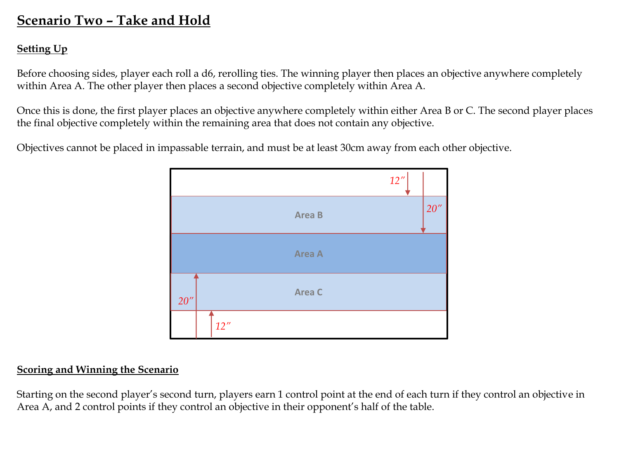## **Scenario Two – Take and Hold**

#### **Setting Up**

Before choosing sides, player each roll a d6, rerolling ties. The winning player then places an objective anywhere completely within Area A. The other player then places a second objective completely within Area A.

Once this is done, the first player places an objective anywhere completely within either Area B or C. The second player places the final objective completely within the remaining area that does not contain any objective.

Objectives cannot be placed in impassable terrain, and must be at least 30cm away from each other objective.



#### **Scoring and Winning the Scenario**

Starting on the second player's second turn, players earn 1 control point at the end of each turn if they control an objective in Area A, and 2 control points if they control an objective in their opponent's half of the table.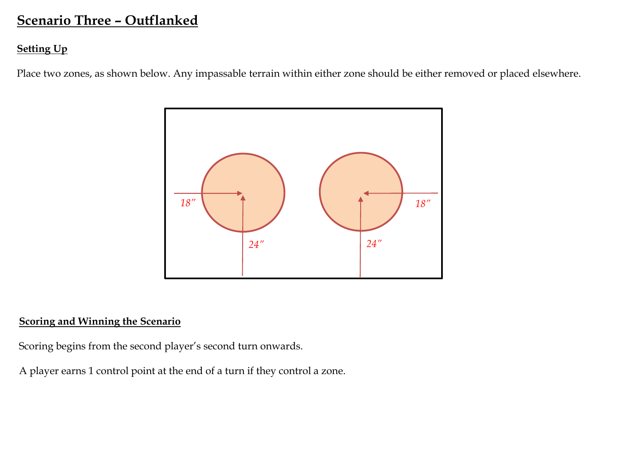## **Scenario Three – Outflanked**

#### **Setting Up**

Place two zones, as shown below. Any impassable terrain within either zone should be either removed or placed elsewhere.



#### **Scoring and Winning the Scenario**

Scoring begins from the second player's second turn onwards.

A player earns 1 control point at the end of a turn if they control a zone.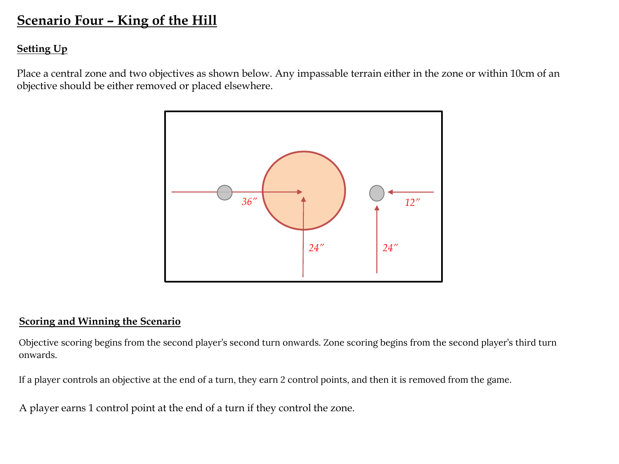## **Scenario Four – King of the Hill**

#### **Setting Up**

Place a central zone and two objectives as shown below. Any impassable terrain either in the zone or within 10cm of an objective should be either removed or placed elsewhere.



#### **Scoring and Winning the Scenario**

Objective scoring begins from the second player's second turn onwards. Zone scoring begins from the second player's third turn<br>. onwards. onwards.

If a player controls an objective at the end of a turn, they earn 2 control points, and then it is removed from the game.

A player earns 1 control point at the end of a turn if they control the zone.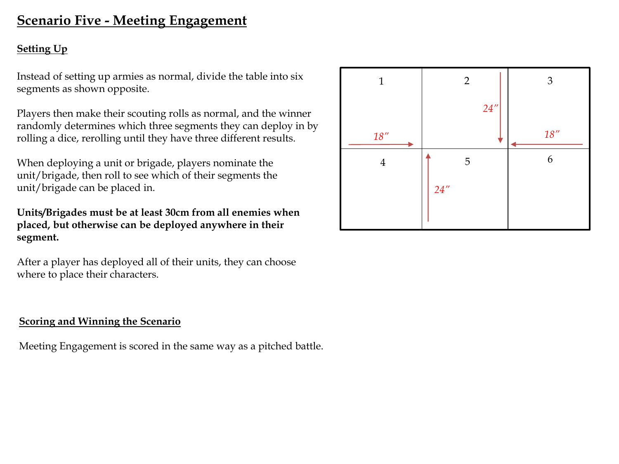## **Scenario Five - Meeting Engagement**

#### **Setting Up**

Instead of setting up armies as normal, divide the table into six segments as shown opposite.

Players then make their scouting rolls as normal, and the winner randomly determines which three segments they can deploy in by rolling a dice, rerolling until they have three different results.

When deploying a unit or brigade, players nominate the unit/brigade, then roll to see which of their segments the unit/brigade can be placed in.

**Units/Brigades must be at least 30cm from all enemies when placed, but otherwise can be deployed anywhere in their segment.**

After a player has deployed all of their units, they can choose where to place their characters.

#### **Scoring and Winning the Scenario**

Meeting Engagement is scored in the same way as a pitched battle.

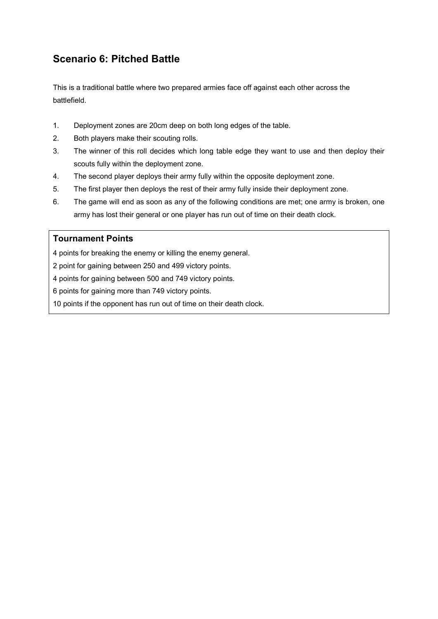## **Scenario 6: Pitched Battle**

This is a traditional battle where two prepared armies face off against each other across the battlefield.

- 1. Deployment zones are 20cm deep on both long edges of the table.
- 2. Both players make their scouting rolls.
- 3. The winner of this roll decides which long table edge they want to use and then deploy their scouts fully within the deployment zone.
- 4. The second player deploys their army fully within the opposite deployment zone.
- 5. The first player then deploys the rest of their army fully inside their deployment zone.
- 6. The game will end as soon as any of the following conditions are met; one army is broken, one army has lost their general or one player has run out of time on their death clock.

#### **Tournament Points**

4 points for breaking the enemy or killing the enemy general.

2 point for gaining between 250 and 499 victory points.

4 points for gaining between 500 and 749 victory points.

6 points for gaining more than 749 victory points.

10 points if the opponent has run out of time on their death clock.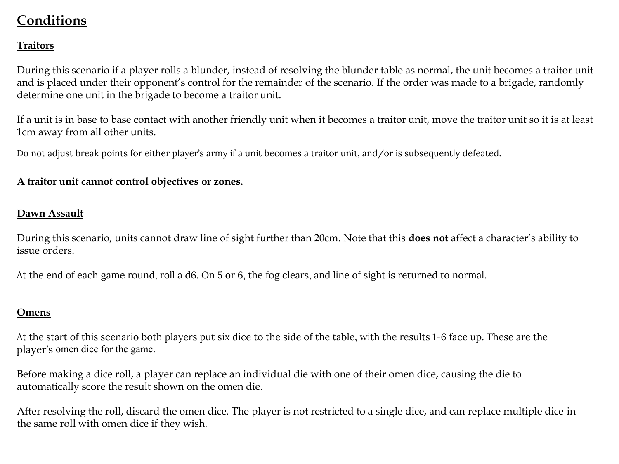## **Conditions**

#### **Traitors**

During this scenario if a player rolls a blunder, instead of resolving the blunder table as normal, the unit becomes a traitor unit and is placed under their opponent's control for the remainder of the scenario. If the order was made to a brigade, randomly determine one unit in the brigade to become a traitor unit.

If a unit is in base to base contact with another friendly unit when it becomes a traitor unit, move the traitor unit so it is at least 1cm away from all other units.

Do not adjust break points for either player's army if a unit becomes a traitor unit, and/or is subsequently defeated.

#### **A traitor unit cannot control objectives or zones.**

#### **Dawn Assault**

During this scenario, units cannot draw line of sight further than 20cm. Note that this **does not** affect a character's ability to issue orders.

At the end of each game round, roll a d6. On 5 or 6, the fog clears, and line of sight is returned to normal. At the end of each game round, roll a d6. On 5 or 6, the fog clears, and line of sight is returned to normal.

#### **Omens**

At the start of this scenario both players put six dice to the side of the table, with the results 1-6 face up. These are the player's *omen dice* for the game. player's omen dice for the game.

Before making a dice roll, a player can replace an individual die with one of their omen dice, causing the die to automatically score the result shown on the omen die.

After resolving the roll, discard the omen dice. The player is not restricted to a single dice, and can replace multiple dice in the same roll with omen dice if they wish.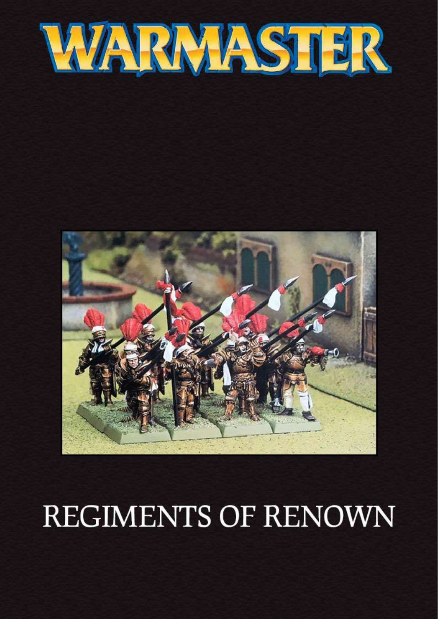



# **REGIMENTS OF RENOWN**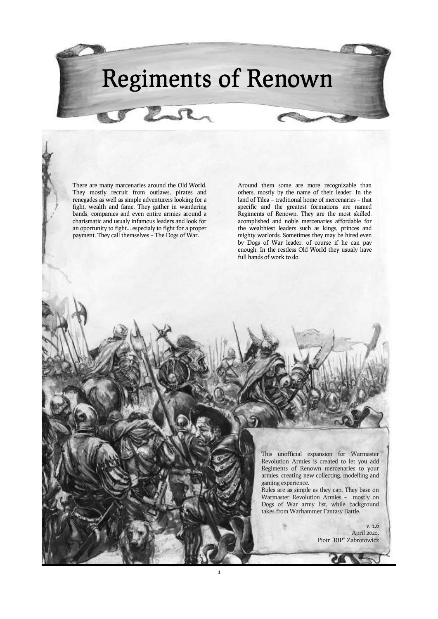# Regiments of Renown

1

There are many marcenaries around the Old World. They mostly recruit from outlaws, pirates and renegades as well as simple adventurers looking for a fight, wealth and fame. They gather in wandering bands, companies and even entire armies around a charismatic and usualy infamous leaders and look for an oportunity to fight... especialy to fight for a proper payment. They call themselves – The Dogs of War.

rer

Around them some are more recognizable than others, mostly by the name of their leader. In the land of Tilea – traditional home of mercenaries – that specific and the greatest formations are named Regiments of Renown. They are the most skilled, acomplished and noble mercenaries affordable for the wealthiest leaders such as kings, princes and mighty warlords. Sometimes they may be hired even by Dogs of War leader, of course if he can pay enough. In the restless Old World they usualy have full hands of work to do.

> This unofficial expansion for Warmaster Revolution Armies is created to let you add Regiments of Renown mercenaries to your armies, creating new collecting, modelling and gaming experience.

Rules are as simple as they can. They base on Warmaster Revolution Armies – mostly on Dogs of War army list, while background takes from Warhammer Fantasy Battle.

> v. 1.6 April 2020. Piotr "RIP" Zabrotowicz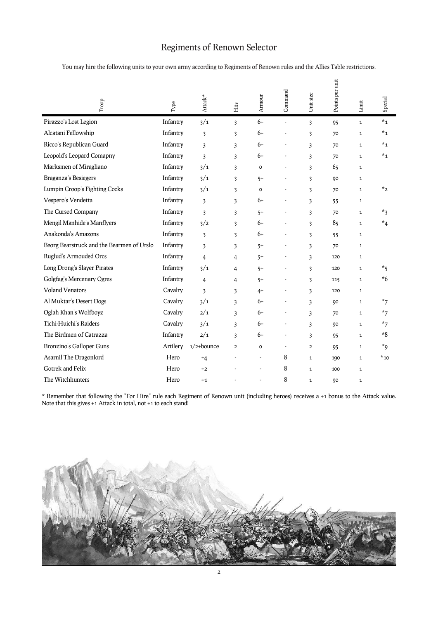## Regiments of Renown Selector

You may hire the following units to your own army according to Regiments of Renown rules and the Allies Table restrictions.

| $_{\rm{Trop}}$                            | Type     | $\operatorname{Attack}^{\star}$ | Hits                    | Armour  | Command | Unit size               | Points per unit | Limit        | Special  |
|-------------------------------------------|----------|---------------------------------|-------------------------|---------|---------|-------------------------|-----------------|--------------|----------|
| Pirazzo's Lost Legion                     | Infantry | 3/1                             | 3                       | $6+$    | ÷,      | 3                       | 95              | $\mathbf{1}$ | $*_{1}$  |
| Alcatani Fellowship                       | Infantry | 3                               | 3                       | 6+      |         | 3                       | 70              | $\mathbf{1}$ | $*_{1}$  |
| Ricco's Republican Guard                  | Infantry | 3                               | 3                       | 6+      |         | 3                       | 70              | $\mathbf{1}$ | $*_{1}$  |
| Leopold's Leopard Comapny                 | Infantry | $\overline{\mathbf{3}}$         | 3                       | 6+      |         | 3                       | 70              | $\mathbf{1}$ | $*_{1}$  |
| Marksmen of Miragliano                    | Infantry | 3/1                             | 3                       | $\circ$ |         | 3                       | 65              | $\mathbf{1}$ |          |
| Braganza's Besiegers                      | Infantry | 3/1                             | 3                       | $5+$    |         | 3                       | 90              | $\mathbf{1}$ |          |
| Lumpin Croop's Fighting Cocks             | Infantry | 3/1                             | 3                       | $\circ$ |         | 3                       | 70              | $\mathbf{1}$ | $*_{2}$  |
| Vespero's Vendetta                        | Infantry | $\overline{\mathbf{3}}$         | 3                       | 6+      |         | 3                       | 55              | $\mathbf{1}$ |          |
| The Cursed Company                        | Infantry | 3                               | 3                       | $5+$    |         | 3                       | 70              | $\mathbf{1}$ | $*_3$    |
| Mengil Manhide's Manflyers                | Infantry | 3/2                             | 3                       | 6+      |         | 3                       | 85              | $\mathbf{1}$ | $*_{4}$  |
| Anakonda's Amazons                        | Infantry | $\overline{\mathbf{3}}$         | $\overline{\mathbf{3}}$ | 6+      |         | $\overline{\mathbf{3}}$ | 55              | $\mathbf{1}$ |          |
| Beorg Bearstruck and the Bearmen of Urslo | Infantry | 3                               | 3                       | $5+$    |         | 3                       | 70              | $\mathbf{1}$ |          |
| Ruglud's Armouded Orcs                    | Infantry | 4                               | $\overline{4}$          | $5+$    |         | 3                       | 120             | $\mathbf{1}$ |          |
| Long Drong's Slayer Pirates               | Infantry | 3/1                             | 4                       | $5+$    |         | 3                       | 120             | $\mathbf{1}$ | $*_{5}$  |
| Golgfag's Mercenary Ogres                 | Infantry | 4                               | 4                       | $5+$    |         | 3                       | 115             | $\mathbf{1}$ | $*6$     |
| <b>Voland Venators</b>                    | Cavalry  | $\overline{\mathbf{3}}$         | 3                       | $4+$    |         | 3                       | 120             | $\mathbf{1}$ |          |
| Al Muktar's Desert Dogs                   | Cavalry  | 3/1                             | 3                       | 6+      |         | 3                       | 90              | $\mathbf{1}$ | $*_{7}$  |
| Oglah Khan's Wolfboyz                     | Cavalry  | 2/1                             | 3                       | 6+      |         | 3                       | 70              | $\mathbf{1}$ | $*_{7}$  |
| Tichi-Huichi's Raiders                    | Cavalry  | 3/1                             | $\overline{\mathbf{3}}$ | 6+      |         | $\overline{\mathbf{3}}$ | 90              | $\mathbf{1}$ | $*_{7}$  |
| The Birdmen of Catrazza                   | Infantry | 2/1                             | 3                       | 6+      |         | 3                       | 95              | $\mathbf{1}$ | $*8$     |
| Bronzino's Galloper Guns                  | Artilery | $1/2+$ bounce                   | $\overline{2}$          | $\circ$ |         | $\overline{2}$          | 95              | $\mathbf{1}$ | $*_{9}$  |
| Asarnil The Dragonlord                    | Hero     | $+4$                            |                         | ÷.      | 8       | $\mathbf{1}$            | 100             | $\mathbf{1}$ | $*_{10}$ |
| Gotrek and Felix                          | Hero     | $+2$                            |                         |         | 8       | $\mathbf{1}$            | 100             | $\mathbf{1}$ |          |
| The Witchhunters                          | Hero     | $+1$                            |                         |         | 8       | $\mathbf{1}$            | 90              | $\mathbf{1}$ |          |

\* Remember that following the "For Hire" rule each Regiment of Renown unit (including heroes) receives a +1 bonus to the Attack value. Note that this gives +1 Attack in total, not +1 to each stand!

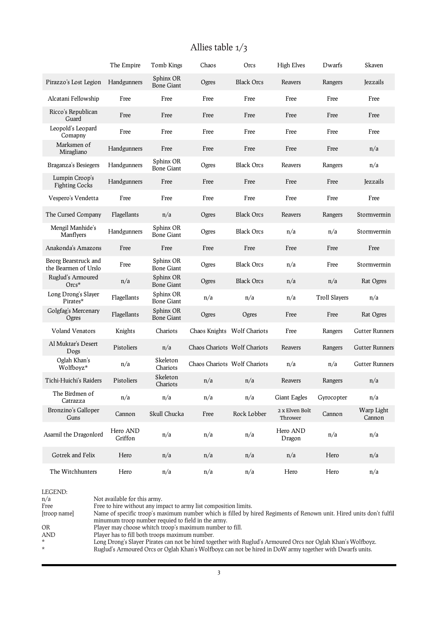## Allies table 1/3

|                                              | The Empire          | Tomb Kings                     | Chaos                        | Orcs              | <b>High Elves</b>         | Dwarfs               | Skaven                |
|----------------------------------------------|---------------------|--------------------------------|------------------------------|-------------------|---------------------------|----------------------|-----------------------|
| Pirazzo's Lost Legion                        | Handgunners         | Sphinx OR<br><b>Bone Giant</b> | Ogres                        | <b>Black Orcs</b> | Reavers                   | Rangers              | Jezzails              |
| Alcatani Fellowship                          | Free                | Free                           | Free                         | Free              | Free                      | Free                 | Free                  |
| Ricco's Republican<br>Guard                  | Free                | Free                           | Free                         | Free              | Free                      | Free                 | Free                  |
| Leopold's Leopard<br>Comapny                 | Free                | Free                           | Free                         | Free              | Free                      | Free                 | Free                  |
| Marksmen of<br>Miragliano                    | Handgunners         | Free                           | Free                         | Free              | Free                      | Free                 | n/a                   |
| Braganza's Besiegers                         | Handgunners         | Sphinx OR<br><b>Bone Giant</b> | Ogres                        | <b>Black Orcs</b> | Reavers                   | Rangers              | n/a                   |
| Lumpin Croop's<br><b>Fighting Cocks</b>      | Handgunners         | Free                           | Free                         | Free              | Free                      | Free                 | Jezzails              |
| Vespero's Vendetta                           | Free                | Free                           | Free                         | Free              | Free                      | Free                 | Free                  |
| The Cursed Company                           | Flagellants         | n/a                            | Ogres                        | <b>Black Orcs</b> | Reavers                   | Rangers              | Stormvermin           |
| Mengil Manhide's<br>Manflyers                | Handgunners         | Sphinx OR<br><b>Bone Giant</b> | Ogres                        | <b>Black Orcs</b> | n/a                       | n/a                  | Stormvermin           |
| Anakonda's Amazons                           | Free                | Free                           | Free                         | Free              | Free                      | Free                 | Free                  |
| Beorg Bearstruck and<br>the Bearmen of Urslo | Free                | Sphinx OR<br><b>Bone Giant</b> | Ogres                        | <b>Black Orcs</b> | n/a                       | Free                 | Stormvermin           |
| Ruglud's Armoured<br>$Orcs*$                 | n/a                 | Sphinx OR<br><b>Bone Giant</b> | Ogres                        | <b>Black Orcs</b> | n/a                       | n/a                  | Rat Ogres             |
| Long Drong's Slayer<br>Pirates*              | Flagellants         | Sphinx OR<br><b>Bone Giant</b> | n/a                          | n/a               | n/a                       | <b>Troll Slayers</b> | n/a                   |
| Golgfag's Mercenary<br>Ogres                 | Flagellants         | Sphinx OR<br><b>Bone Giant</b> | Ogres                        | Ogres             | Free                      | Free                 | Rat Ogres             |
| <b>Voland Venators</b>                       | Knights             | Chariots                       | Chaos Knights Wolf Chariots  |                   | Free                      | Rangers              | <b>Gutter Runners</b> |
| Al Muktar's Desert<br>Dogs                   | Pistoliers          | n/a                            | Chaos Chariots Wolf Chariots |                   | Reavers                   | Rangers              | <b>Gutter Runners</b> |
| Oglah Khan's<br>Wolfboyz*                    | n/a                 | Skeleton<br>Chariots           | Chaos Chariots Wolf Chariots |                   | n/a                       | n/a                  | <b>Gutter Runners</b> |
| Tichi-Huichi's Raiders                       | Pistoliers          | Skeleton<br>Chariots           | n/a                          | n/a               | Reavers                   | Rangers              | n/a                   |
| The Birdmen of<br>Catrazza                   | n/a                 | n/a                            | n/a                          | n/a               | Giant Eagles              | Gyrocopter           | n/a                   |
| Bronzino's Galloper<br>Guns                  | Cannon              | Skull Chucka                   | Free                         | Rock Lobber       | 2 x Elven Bolt<br>Thrower | Cannon               | Warp Light<br>Cannon  |
| Asarnil the Dragonlord                       | Hero AND<br>Griffon | n/a                            | n/a                          | n/a               | Hero AND<br>Dragon        | n/a                  | n/a                   |
| Gotrek and Felix                             | Hero                | n/a                            | n/a                          | n/a               | n/a                       | Hero                 | n/a                   |
| The Witchhunters                             | Hero                | n/a                            | n/a                          | n/a               | Hero                      | Hero                 | n/a                   |

| LEGEND:      |                                                                                                                                                                           |
|--------------|---------------------------------------------------------------------------------------------------------------------------------------------------------------------------|
| n/a          | Not available for this army.                                                                                                                                              |
| Free         | Free to hire without any impact to army list composition limits.                                                                                                          |
| [troop name] | Name of specific troop's maximum number which is filled by hired Regiments of Renown unit. Hired units don't fulfil<br>minumum troop number requied to field in the army. |
| <b>OR</b>    | Player may choose whitch troop's maximum number to fill.                                                                                                                  |
| <b>AND</b>   | Player has to fill both troops maximum number.                                                                                                                            |
| $\star$      | Long Drong's Slayer Pirates can not be hired together with Ruglud's Armoured Orcs nor Oglah Khan's Wolfboyz.                                                              |
| $\star$      | Ruglud's Armoured Orcs or Oglah Khan's Wolfboyz can not be hired in DoW army together with Dwarfs units.                                                                  |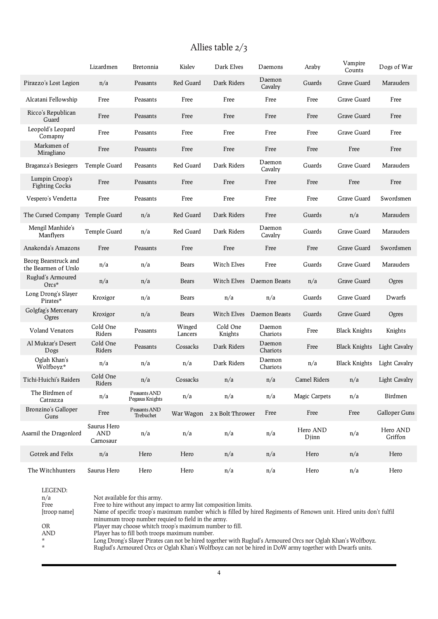## Allies table 2/3

|                                              | Lizardmen                              | Bretonnia                       | Kislev            | Dark Elves          | Daemons            | Araby               | Vampire<br>Counts    | Dogs of War          |
|----------------------------------------------|----------------------------------------|---------------------------------|-------------------|---------------------|--------------------|---------------------|----------------------|----------------------|
| Pirazzo's Lost Legion                        | n/a                                    | Peasants                        | Red Guard         | Dark Riders         | Daemon<br>Cavalry  | Guards              | Grave Guard          | Marauders            |
| Alcatani Fellowship                          | Free                                   | Peasants                        | Free              | Free                | Free               | Free                | Grave Guard          | Free                 |
| Ricco's Republican<br>Guard                  | Free                                   | Peasants                        | Free              | Free                | Free               | Free                | Grave Guard          | Free                 |
| Leopold's Leopard<br>Comapny                 | Free                                   | Peasants                        | Free              | Free                | Free               | Free                | Grave Guard          | Free                 |
| Marksmen of<br>Miragliano                    | Free                                   | Peasants                        | Free              | Free                | Free               | Free                | Free                 | Free                 |
| Braganza's Besiegers                         | Temple Guard                           | Peasants                        | Red Guard         | Dark Riders         | Daemon<br>Cavalry  | Guards              | Grave Guard          | Marauders            |
| Lumpin Croop's<br><b>Fighting Cocks</b>      | Free                                   | Peasants                        | Free              | Free                | Free               | Free                | Free                 | Free                 |
| Vespero's Vendetta                           | Free                                   | Peasants                        | Free              | Free                | Free               | Free                | Grave Guard          | Swordsmen            |
| The Cursed Company                           | Temple Guard                           | n/a                             | Red Guard         | Dark Riders         | Free               | Guards              | n/a                  | Marauders            |
| Mengil Manhide's<br>Manflyers                | Temple Guard                           | n/a                             | Red Guard         | Dark Riders         | Daemon<br>Cavalry  | Guards              | Grave Guard          | Marauders            |
| Anakonda's Amazons                           | Free                                   | Peasants                        | Free              | Free                | Free               | Free                | Grave Guard          | Swordsmen            |
| Beorg Bearstruck and<br>the Bearmen of Urslo | n/a                                    | n/a                             | Bears             | <b>Witch Elves</b>  | Free               | Guards              | Grave Guard          | Marauders            |
| Ruglud's Armoured<br>$Ores^*$                | n/a                                    | n/a                             | Bears             | Witch Elves         | Daemon Beasts      | n/a                 | Grave Guard          | Ogres                |
| Long Drong's Slayer<br>Pirates*              | Kroxigor                               | n/a                             | Bears             | n/a                 | n/a                | Guards              | Grave Guard          | Dwarfs               |
| Golgfag's Mercenary<br>Ogres                 | Kroxigor                               | n/a                             | Bears             | Witch Elves         | Daemon Beasts      | Guards              | Grave Guard          | Ogres                |
| <b>Voland Venators</b>                       | Cold One<br>Riders                     | Peasants                        | Winged<br>Lancers | Cold One<br>Knights | Daemon<br>Chariots | Free                | <b>Black Knights</b> | Knights              |
| Al Muktar's Desert<br>Dogs                   | Cold One<br>Riders                     | Peasants                        | Cossacks          | Dark Riders         | Daemon<br>Chariots | Free                | <b>Black Knights</b> | Light Cavalry        |
| Oglah Khan's<br>Wolfboyz*                    | n/a                                    | n/a                             | n/a               | Dark Riders         | Daemon<br>Chariots | n/a                 | <b>Black Knights</b> | <b>Light Cavalry</b> |
| Tichi-Huichi's Raiders                       | Cold One<br>Riders                     | n/a                             | Cossacks          | n/a                 | n/a                | <b>Camel Riders</b> | n/a                  | Light Cavalry        |
| The Birdmen of<br>Catrazza                   | n/a                                    | Peasants AND<br>Pegasus Knights | n/a               | n/a                 | n/a                | Magic Carpets       | n/a                  | Birdmen              |
| Bronzino's Galloper<br>Guns                  | Free                                   | Peasants AND<br>Trebuchet       | War Wagon         | 2 x Bolt Thrower    | Free               | Free                | Free                 | Galloper Guns        |
| Asarnil the Dragonlord                       | Saurus Hero<br><b>AND</b><br>Carnosaur | n/a                             | n/a               | n/a                 | n/a                | Hero AND<br>Djinn   | n/a                  | Hero AND<br>Griffon  |
| Gotrek and Felix                             | n/a                                    | Hero                            | Hero              | n/a                 | n/a                | Hero                | n/a                  | Hero                 |
| The Witchhunters                             | Saurus Hero                            | Hero                            | Hero              | n/a                 | n/a                | Hero                | n/a                  | Hero                 |

LEGEND: n/a Not available for this army. Free Free to hire without any impact to army list composition limits.<br>
[troop name] Name of specific troop's maximum number which is filled by **h** Name of specific troop's maximum number which is filled by hired Regiments of Renown unit. Hired units don't fulfil minumum troop number requied to field in the army. OR Player may choose whitch troop's maximum number to fill. AND Player has to fill both troops maximum number. \* Long Drong's Slayer Pirates can not be hired together with Ruglud's Armoured Orcs nor Oglah Khan's Wolfboyz. \* Ruglud's Armoured Orcs or Oglah Khan's Wolfboyz can not be hired in DoW army together with Dwarfs units.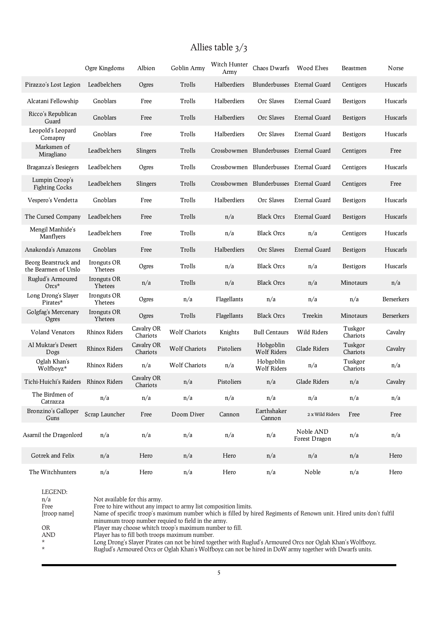## Allies table 3/3

|                                              | Ogre Kingdoms          | Albion                 | Goblin Army          | Witch Hunter<br>Army | Chaos Dwarfs                    | Wood Elves                 | Beastmen            | Norse      |
|----------------------------------------------|------------------------|------------------------|----------------------|----------------------|---------------------------------|----------------------------|---------------------|------------|
| Pirazzo's Lost Legion                        | Leadbelchers           | Ogres                  | Trolls               | Halberdiers          | Blunderbusses Eternal Guard     |                            | Centigors           | Huscarls   |
| Alcatani Fellowship                          | Gnoblars               | Free                   | Trolls               | Halberdiers          | Orc Slaves                      | Eternal Guard              | Bestigors           | Huscarls   |
| Ricco's Republican<br>Guard                  | Gnoblars               | Free                   | Trolls               | Halberdiers          | Orc Slaves                      | Eternal Guard              | <b>Bestigors</b>    | Huscarls   |
| Leopold's Leopard<br>Comapny                 | Gnoblars               | Free                   | Trolls               | Halberdiers          | Orc Slaves                      | <b>Eternal Guard</b>       | <b>Bestigors</b>    | Huscarls   |
| Marksmen of<br>Miragliano                    | Leadbelchers           | Slingers               | Trolls               | Crossbowmen          | Blunderbusses Eternal Guard     |                            | Centigors           | Free       |
| Braganza's Besiegers                         | Leadbelchers           | Ogres                  | Trolls               | Crossbowmen          | Blunderbusses Eternal Guard     |                            | Centigors           | Huscarls   |
| Lumpin Croop's<br><b>Fighting Cocks</b>      | Leadbelchers           | Slingers               | Trolls               | Crossbowmen          | Blunderbusses Eternal Guard     |                            | Centigors           | Free       |
| Vespero's Vendetta                           | Gnoblars               | Free                   | Trolls               | Halberdiers          | Orc Slaves                      | <b>Eternal Guard</b>       | Bestigors           | Huscarls   |
| The Cursed Company                           | Leadbelchers           | Free                   | Trolls               | n/a                  | <b>Black Orcs</b>               | Eternal Guard              | <b>Bestigors</b>    | Huscarls   |
| Mengil Manhide's<br>Manflyers                | Leadbelchers           | Free                   | Trolls               | n/a                  | <b>Black Orcs</b>               | n/a                        | Centigors           | Huscarls   |
| Anakonda's Amazons                           | Gnoblars               | Free                   | Trolls               | Halberdiers          | Orc Slaves                      | <b>Eternal Guard</b>       | <b>Bestigors</b>    | Huscarls   |
| Beorg Bearstruck and<br>the Bearmen of Urslo | Ironguts OR<br>Yhetees | Ogres                  | Trolls               | n/a                  | <b>Black Orcs</b>               | n/a                        | Bestigors           | Huscarls   |
| Ruglud's Armoured<br>$Ores*$                 | Ironguts OR<br>Yhetees | n/a                    | Trolls               | n/a                  | <b>Black Orcs</b>               | n/a                        | Minotaurs           | n/a        |
| Long Drong's Slayer<br>Pirates*              | Ironguts OR<br>Yhetees | Ogres                  | n/a                  | Flagellants          | n/a                             | n/a                        | n/a                 | Berserkers |
| Golgfag's Mercenary<br>Ogres                 | Ironguts OR<br>Yhetees | Ogres                  | Trolls               | Flagellants          | <b>Black Orcs</b>               | Treekin                    | Minotaurs           | Berserkers |
| <b>Voland Venators</b>                       | Rhinox Riders          | Cavalry OR<br>Chariots | <b>Wolf Chariots</b> | Knights              | <b>Bull Centaurs</b>            | Wild Riders                | Tuskgor<br>Chariots | Cavalry    |
| Al Muktar's Desert<br>Dogs                   | Rhinox Riders          | Cavalry OR<br>Chariots | <b>Wolf Chariots</b> | Pistoliers           | Hobgoblin<br><b>Wolf Riders</b> | Glade Riders               | Tuskgor<br>Chariots | Cavalry    |
| Oglah Khan's<br>Wolfboyz*                    | Rhinox Riders          | n/a                    | <b>Wolf Chariots</b> | n/a                  | Hobgoblin<br><b>Wolf Riders</b> | n/a                        | Tuskgor<br>Chariots | n/a        |
| Tichi-Huichi's Raiders                       | Rhinox Riders          | Cavalry OR<br>Chariots | n/a                  | Pistoliers           | n/a                             | Glade Riders               | n/a                 | Cavalry    |
| The Birdmen of<br>Catrazza                   | n/a                    | n/a                    | n/a                  | n/a                  | n/a                             | n/a                        | n/a                 | n/a        |
| Bronzino's Galloper<br>Guns                  | Scrap Launcher         | Free                   | Doom Diver           | Cannon               | Earthshaker<br>Cannon           | 2 x Wild Riders            | Free                | Free       |
| Asarnil the Dragonlord                       | n/a                    | n/a                    | n/a                  | n/a                  | n/a                             | Noble AND<br>Forest Dragon | n/a                 | n/a        |
| Gotrek and Felix                             | n/a                    | Hero                   | n/a                  | Hero                 | n/a                             | n/a                        | n/a                 | Hero       |
| The Witchhunters                             | n/a                    | Hero                   | n/a                  | Hero                 | n/a                             | Noble                      | n/a                 | Hero       |

| LEGEND:      |                                                                                                                     |
|--------------|---------------------------------------------------------------------------------------------------------------------|
| n/a          | Not available for this army.                                                                                        |
| Free         | Free to hire without any impact to army list composition limits.                                                    |
| [troop name] | Name of specific troop's maximum number which is filled by hired Regiments of Renown unit. Hired units don't fulfil |
|              | minumum troop number requied to field in the army.                                                                  |
| OR           | Player may choose whitch troop's maximum number to fill.                                                            |
| AND          | Player has to fill both troops maximum number.                                                                      |
| $\star$      | Long Drong's Slaver Pirates can not be hired together with Ruglud's Armoured Orcs nor Oglah Khan's Wolfboyz.        |
| ÷            | Ruglud's Armoured Orcs or Oglah Khan's Wolfboyz can not be hired in DoW army together with Dwarfs units.            |